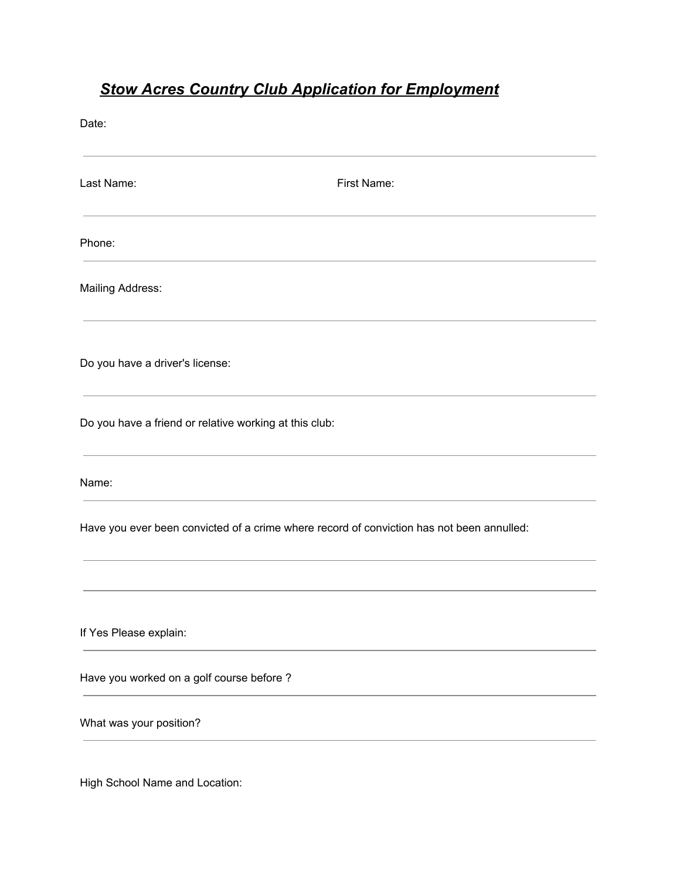## *Stow Acres Country Club Application for Employment*

Date:

| Last Name:                      | First Name:                                                                               |
|---------------------------------|-------------------------------------------------------------------------------------------|
| Phone:                          |                                                                                           |
| Mailing Address:                |                                                                                           |
| Do you have a driver's license: |                                                                                           |
|                                 | Do you have a friend or relative working at this club:                                    |
| Name:                           |                                                                                           |
|                                 | Have you ever been convicted of a crime where record of conviction has not been annulled: |
|                                 |                                                                                           |
| If Yes Please explain:          |                                                                                           |
|                                 | Have you worked on a golf course before?                                                  |
| What was your position?         |                                                                                           |
|                                 |                                                                                           |

High School Name and Location: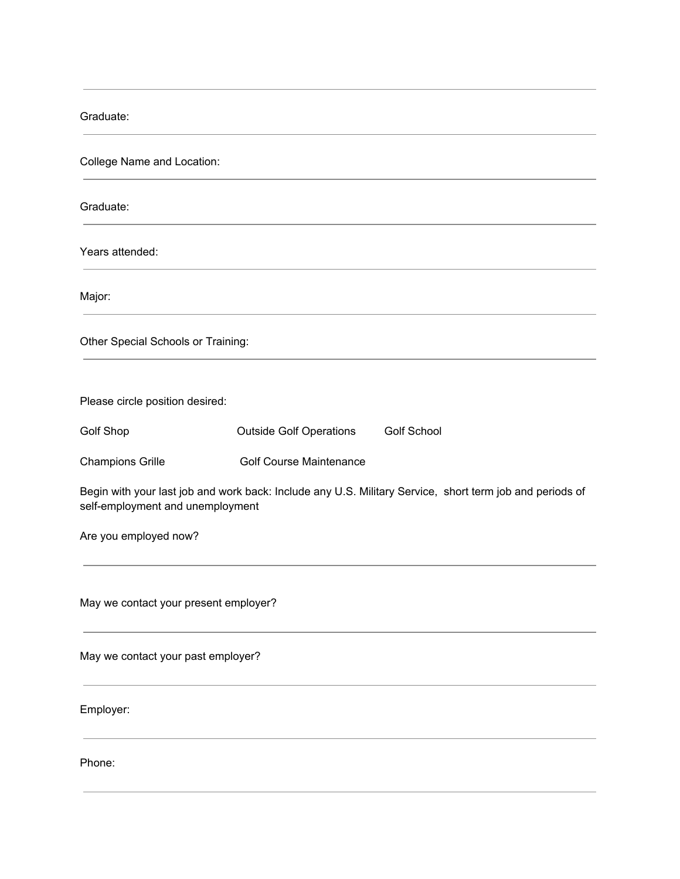Graduate:

College Name and Location:

Graduate:

Years attended:

Major:

Other Special Schools or Training:

Please circle position desired:

| Golf Shop               | <b>Outside Golf Operations</b> | <b>Golf School</b> |
|-------------------------|--------------------------------|--------------------|
| <b>Champions Grille</b> | Golf Course Maintenance        |                    |

Begin with your last job and work back: Include any U.S. Military Service, short term job and periods of self-employment and unemployment

Are you employed now?

May we contact your present employer?

May we contact your past employer?

Employer:

Phone: